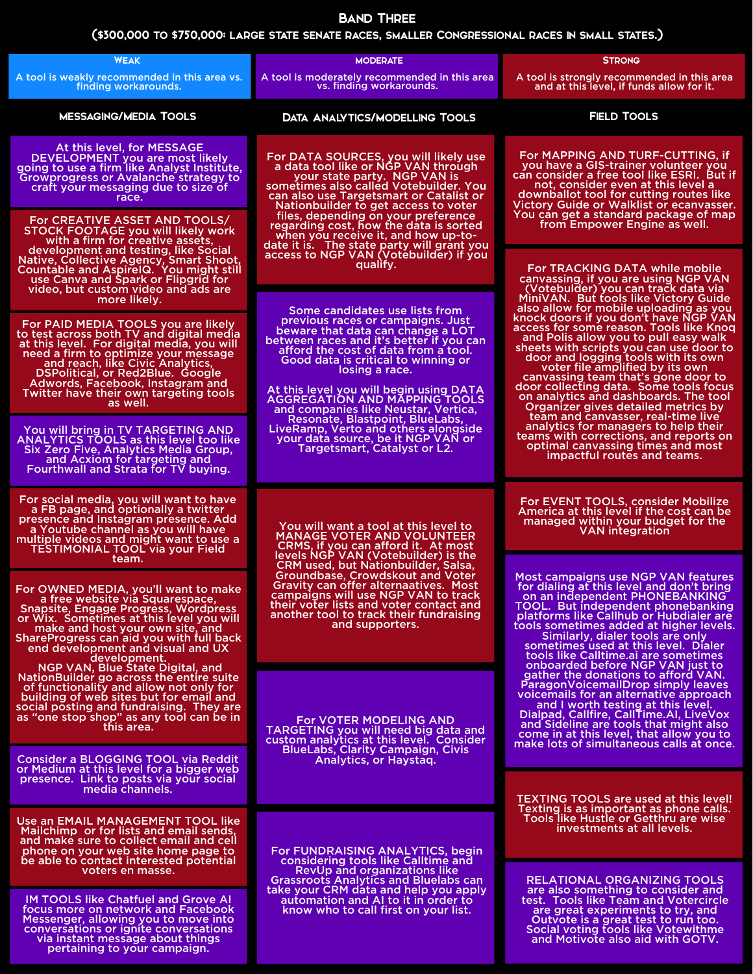## (\$300,000 to \$750,000: large state senate races, smaller Congressional races in small states.)

## Band Three

| <b>WEAK</b>                                                                                                                                                                                                                                                                                                                                                                                                                                                                                                                                                                                                                              | <b>MODERATE</b>                                                                                                                                                                                                                                                                                                                                                                  | <b>STRONG</b>                                                                                                                                                                                                                                                                                                                                                                                                                                                                                                                                                                                                                                                                                                                                                                                                                                          |  |
|------------------------------------------------------------------------------------------------------------------------------------------------------------------------------------------------------------------------------------------------------------------------------------------------------------------------------------------------------------------------------------------------------------------------------------------------------------------------------------------------------------------------------------------------------------------------------------------------------------------------------------------|----------------------------------------------------------------------------------------------------------------------------------------------------------------------------------------------------------------------------------------------------------------------------------------------------------------------------------------------------------------------------------|--------------------------------------------------------------------------------------------------------------------------------------------------------------------------------------------------------------------------------------------------------------------------------------------------------------------------------------------------------------------------------------------------------------------------------------------------------------------------------------------------------------------------------------------------------------------------------------------------------------------------------------------------------------------------------------------------------------------------------------------------------------------------------------------------------------------------------------------------------|--|
| A tool is weakly recommended in this area vs.<br>finding workarounds.                                                                                                                                                                                                                                                                                                                                                                                                                                                                                                                                                                    | A tool is moderately recommended in this area<br>vs. finding workarounds.                                                                                                                                                                                                                                                                                                        | A tool is strongly recommended in this area<br>and at this level, if funds allow for it.                                                                                                                                                                                                                                                                                                                                                                                                                                                                                                                                                                                                                                                                                                                                                               |  |
| <b>MESSAGING/MEDIA TOOLS</b>                                                                                                                                                                                                                                                                                                                                                                                                                                                                                                                                                                                                             | <b>DATA ANALYTICS/MODELLING TOOLS</b>                                                                                                                                                                                                                                                                                                                                            | <b>FIELD TOOLS</b>                                                                                                                                                                                                                                                                                                                                                                                                                                                                                                                                                                                                                                                                                                                                                                                                                                     |  |
| At this level, for MESSAGE<br>DEVELOPMENT you are most likely<br>going to use a firm like Analyst Institute,<br><b>Growprogress or Avalanche strategy to</b><br>craft your messaging due to size of<br>race.                                                                                                                                                                                                                                                                                                                                                                                                                             | For DATA SOURCES, you will likely use<br>a data tool like or NGP VAN through<br>your state party. NGP VAN is<br>sometimes also called Votebuilder. You<br>can also use Targetsmart or Catalist or<br>Nationbuilder to get access to voter<br>files, depending on your preference                                                                                                 | For MAPPING AND TURF-CUTTING, if<br>you have a GIS-trainer volunteer you<br>can consider a free tool like ESRI. But if<br>not, consider even at this level a<br>downballot tool for cutting routes like<br>Victory Guide or Walklist or ecanvasser.<br>You can get a standard package of map                                                                                                                                                                                                                                                                                                                                                                                                                                                                                                                                                           |  |
| For CREATIVE ASSET AND TOOLS/<br>STOCK FOOTAGE you will likely work<br>with a firm for creative assets,<br>development and testing, like Social<br>Native, Collective Agency, Smart Shoot,<br>Countable and AspirelQ. You might still<br>use Canva and Spark or Flipgrid for<br>video, but custom video and ads are<br>more likely.                                                                                                                                                                                                                                                                                                      | regarding cost, how the data is sorted<br>when you receive it, and how up-to-<br>date it is. The state party will grant you<br>access to NGP VAN (Votebuilder) if you<br>quality.                                                                                                                                                                                                | from Empower Engine as well.<br>For TRACKING DATA while mobile<br>canvassing, if you are using NGP VAN<br>(Votebulder) you can track data via<br>MiniVAN. But tools like Victory Guide<br>also allow for mobile uploading as you<br>knock doors if you don't have NGP VAN<br>access for some reason. Tools like Knog<br>and Polis allow you to pull easy walk<br>sheets with scripts you can use door to<br>door and logging tools with its own<br>voter file amplified by its own<br>canvassing team that's gone door to<br>door collecting data. Some tools focus<br>on analytics and dashboards. The tool<br><b>Organizer gives detailed metrics by</b><br>team and canvasser, real-time live<br>analytics for managers to help their<br>teams with corrections, and reports on<br>optimal canvassing times and most<br>impactful routes and teams. |  |
| For PAID MEDIA TOOLS you are likely<br>to test across both TV and digital media<br>at this level. For digital media, you will<br>need a firm to optimize your message<br>and reach, like Civic Analytics,<br><b>DSPolitical, or Red2Blue. Google</b><br>Adwords, Facebook, Instagram and<br>Twitter have their own targeting tools<br>as well.                                                                                                                                                                                                                                                                                           | Some candidates use lists from<br>previous races or campaigns. Just<br>beware that data can change a LOT<br>between races and it's better if you can<br>afford the cost of data from a tool.<br>Good data is critical to winning or<br>losing a race.<br>At this level you will begin using DATA<br><b>AGGREGATION AND MAPPING TOOLS</b><br>and companies like Neustar, Vertica, |                                                                                                                                                                                                                                                                                                                                                                                                                                                                                                                                                                                                                                                                                                                                                                                                                                                        |  |
| You will bring in TV TARGETING AND<br><b>ANALYTICS TOOLS as this level too like</b><br>Six Zero Five, Analytics Media Group,<br>and Acxiom for targeting and<br>Fourthwall and Strata for TV buying.                                                                                                                                                                                                                                                                                                                                                                                                                                     | Resonate, Blastpoint, BlueLabs,<br>LiveRamp, Verto and others alongside<br>your data source, be it NGP VAN or<br>Targetsmart, Catalyst or L2.                                                                                                                                                                                                                                    |                                                                                                                                                                                                                                                                                                                                                                                                                                                                                                                                                                                                                                                                                                                                                                                                                                                        |  |
| For social media, you will want to have<br>a FB page, and optionally a twitter<br>presence and Instagram presence. Add<br>a Youtube channel as you will have<br>multiple videos and might want to use a<br><b>TESTIMONIAL TOOL via your Field</b><br>team.                                                                                                                                                                                                                                                                                                                                                                               | You will want a tool at this level to<br><b>MANAGE VOTER AND VOLUNTEER</b><br>CRMS, if you can afford it. At most<br>levels NGP VAN (Votebuilder) is the                                                                                                                                                                                                                         | <b>For EVENT TOOLS, consider Mobilize</b><br>America at this level if the cost can be<br>managed within your budget for the<br><b>VAN</b> integration                                                                                                                                                                                                                                                                                                                                                                                                                                                                                                                                                                                                                                                                                                  |  |
| For OWNED MEDIA, you'll want to make<br>a free website via Squarespace,<br><b>Snapsite, Engage Progress, Wordpress</b><br>or Wix. Sometimes at this level you will<br>make and host your own site, and<br>ShareProgress can aid you with full back<br>end development and visual and UX<br>development.<br>NGP VAN, Blue State Digital, and<br><b>NationBuilder go across the entire suite</b><br>of functionality and allow not only for<br>building of web sites but for email and<br>social posting and fundraising. They are<br>as "one stop shop" as any tool can be in<br>this area.<br><b>Consider a BLOGGING TOOL via Reddit</b> | CRM used, but Nationbuilder, Salsa,<br>Groundbase, Crowdskout and Voter<br><b>Gravity can offer alternaatives. Most</b><br>campaigns will use NGP VAN to track<br>their voter lists and voter contact and<br>another tool to track their fundraising<br>and supporters.                                                                                                          | Most campaigns use NGP VAN features<br>for dialing at this level and don't bring<br>on an independent PHONEBANKING<br><b>TOOL. But independent phonebanking</b><br>platforms like Callhub or Hubdialer are<br>tools sometimes added at higher levels.<br>Similarly, dialer tools are only<br>sometimes used at this level. Dialer<br>tools like Calltime.ai are sometimes<br>onboarded before NGP VAN just to<br>gather the donations to afford VAN.<br>Paragon Voicemail Drop simply leaves<br>voicemails for an alternative approach<br>and I worth testing at this level.<br>Dialpad, Callfire, CallTime.AI, LiveVox<br>and Sideline are tools that might also<br>come in at this level, that allow you to<br>make lots of simultaneous calls at once.                                                                                              |  |
|                                                                                                                                                                                                                                                                                                                                                                                                                                                                                                                                                                                                                                          | <b>For VOTER MODELING AND</b><br><b>TARGETING you will need big data and</b><br>custom analytics at this level. Consider<br><b>BlueLabs, Clarity Campaign, Civis</b>                                                                                                                                                                                                             |                                                                                                                                                                                                                                                                                                                                                                                                                                                                                                                                                                                                                                                                                                                                                                                                                                                        |  |
| or Medium at this level for a bigger web<br>presence. Link to posts via your social<br>media channels.                                                                                                                                                                                                                                                                                                                                                                                                                                                                                                                                   | Analytics, or Haystag.                                                                                                                                                                                                                                                                                                                                                           | <b>TEXTING TOOLS are used at this level!</b>                                                                                                                                                                                                                                                                                                                                                                                                                                                                                                                                                                                                                                                                                                                                                                                                           |  |
| Use an EMAIL MANAGEMENT TOOL like<br>Mailchimp or for lists and email sends,<br>and make sure to collect email and cell<br>phone on your web site home page to<br>be able to contact interested potential<br>voters en masse.                                                                                                                                                                                                                                                                                                                                                                                                            | For FUNDRAISING ANALYTICS, begin<br>considering tools like Calltime and<br><b>RevUp and organizations like</b>                                                                                                                                                                                                                                                                   | Texting is as important as phone calls.<br>Tools like Hustle or Getthru are wise<br>investments at all levels.                                                                                                                                                                                                                                                                                                                                                                                                                                                                                                                                                                                                                                                                                                                                         |  |
| <b>IM TOOLS like Chatfuel and Grove AI</b><br>focus more on network and Facebook<br>Messenger, allowing you to move into<br>conversations or ignite conversations<br>via instant message about things<br>pertaining to your campaign.                                                                                                                                                                                                                                                                                                                                                                                                    | <b>Grassroots Analytics and Bluelabs can</b><br>take your CRM data and help you apply<br>automation and AI to it in order to<br>know who to call first on your list.                                                                                                                                                                                                             | <b>RELATIONAL ORGANIZING TOOLS</b><br>are also something to consider and<br>test. Tools like Team and Votercircle<br>are great experiments to try, and<br>Outvote is a great test to run too.<br>Social voting tools like Votewithme<br>and Motivote also aid with GOTV.                                                                                                                                                                                                                                                                                                                                                                                                                                                                                                                                                                               |  |